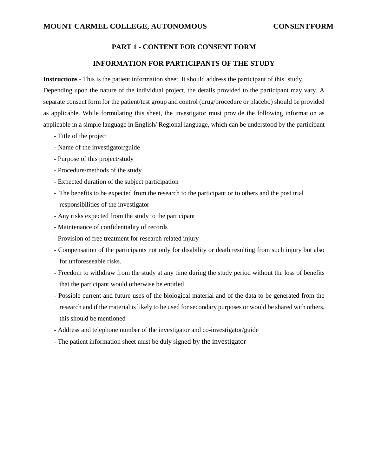# **PART 1 - CONTENT FOR CONSENT FORM**

## **INFORMATION FOR PARTICIPANTS OF THE STUDY**

**Instructions** - This is the patient information sheet. It should address the participant of this study.

Depending upon the nature of the individual project, the details provided to the participant may vary. A separate consent form for the patient/test group and control (drug/procedure or placebo) should be provided as applicable. While formulating this sheet, the investigator must provide the following information as applicable in a simple language in English/ Regional language, which can be understood by the participant

- Title of the project
- Name of the investigator/guide
- Purpose of this project/study
- Procedure/methods of the study
- Expected duration of the subject participation
- The benefits to be expected from the research to the participant or to others and the post trial responsibilities of the investigator
- Any risks expected from the study to the participant
- Maintenance of confidentiality of records
- Provision of free treatment for research related injury
- Compensation of the participants not only for disability or death resulting from such injury but also for unforeseeable risks.
- Freedom to withdraw from the study at any time during the study period without the loss of benefits that the participant would otherwise be entitled
- Possible current and future uses of the biological material and of the data to be generated from the research and if the material is likely to be used for secondary purposes or would be shared with others, this should be mentioned
- Address and telephone number of the investigator and co-investigator/guide
- The patient information sheet must be duly signed by the investigator